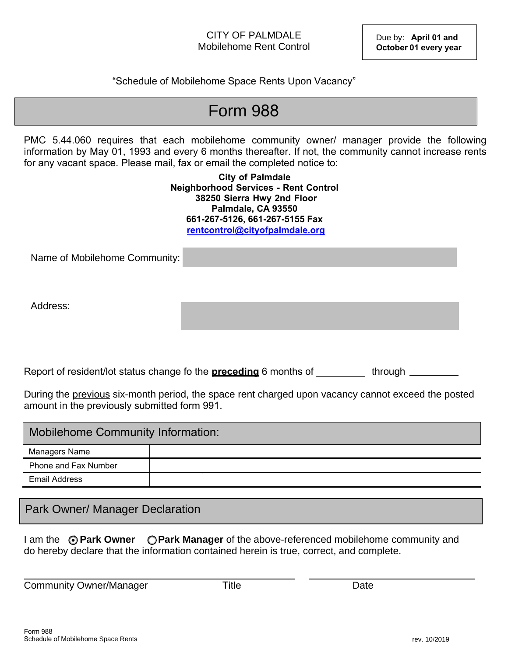"Schedule of Mobilehome Space Rents Upon Vacancy"

## Form 988

PMC 5.44.060 requires that each mobilehome community owner/ manager provide the following information by May 01, 1993 and every 6 months thereafter. If not, the community cannot increase rents for any vacant space. Please mail, fax or email the completed notice to:

> **City of Palmdale Neighborhood Services - Rent Control 38250 Sierra Hwy 2nd Floor Palmdale, CA 93550 661-267-5126, 661-267-5155 Fax rentcontrol@cityofpalmdale.org**

Name of Mobilehome Community:

Address:

Report of resident/lot status change fo the **preceding** 6 months of through **through** 

During the previous six-month period, the space rent charged upon vacancy cannot exceed the posted amount in the previously submitted form 991.

| Mobilehome Community Information: |  |  |  |  |  |
|-----------------------------------|--|--|--|--|--|
| Managers Name                     |  |  |  |  |  |
| Phone and Fax Number              |  |  |  |  |  |
| Email Address                     |  |  |  |  |  |

Park Owner/ Manager Declaration

I am the  $\odot$  **Park Owner**  $\odot$  **Park Manager** of the above-referenced mobilehome community and do hereby declare that the information contained herein is true, correct, and complete.

Community Owner/Manager Title Title Community Owner/Manager

**Title**